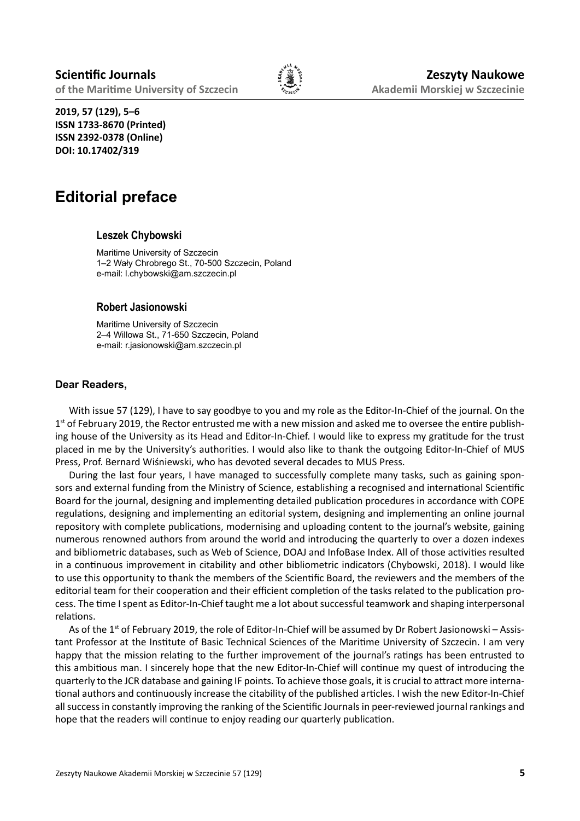

**2019, 57 (129), 5–6 ISSN 1733-8670 (Printed) ISSN 2392-0378 (Online) DOI: 10.17402/319**

# **Editorial preface**

## **Leszek Chybowski**

Maritime University of Szczecin 1–2 Wały Chrobrego St., 70-500 Szczecin, Poland e-mail: l.chybowski@am.szczecin.pl

## **Robert Jasionowski**

Maritime University of Szczecin 2–4 Willowa St., 71-650 Szczecin, Poland e-mail: r.jasionowski@am.szczecin.pl

## **Dear Readers,**

With issue 57 (129), I have to say goodbye to you and my role as the Editor-In-Chief of the journal. On the  $1<sup>st</sup>$  of February 2019, the Rector entrusted me with a new mission and asked me to oversee the entire publishing house of the University as its Head and Editor-In-Chief. I would like to express my gratitude for the trust placed in me by the University's authorities. I would also like to thank the outgoing Editor-In-Chief of MUS Press, Prof. Bernard Wiśniewski, who has devoted several decades to MUS Press.

During the last four years, I have managed to successfully complete many tasks, such as gaining sponsors and external funding from the Ministry of Science, establishing a recognised and international Scientific Board for the journal, designing and implementing detailed publication procedures in accordance with COPE regulations, designing and implementing an editorial system, designing and implementing an online journal repository with complete publications, modernising and uploading content to the journal's website, gaining numerous renowned authors from around the world and introducing the quarterly to over a dozen indexes and bibliometric databases, such as Web of Science, DOAJ and InfoBase Index. All of those activities resulted in a continuous improvement in citability and other bibliometric indicators (Chybowski, 2018). I would like to use this opportunity to thank the members of the Scientific Board, the reviewers and the members of the editorial team for their cooperation and their efficient completion of the tasks related to the publication process. The time I spent as Editor-In-Chief taught me a lot about successful teamwork and shaping interpersonal relations.

As of the 1<sup>st</sup> of February 2019, the role of Editor-In-Chief will be assumed by Dr Robert Jasionowski – Assistant Professor at the Institute of Basic Technical Sciences of the Maritime University of Szczecin. I am very happy that the mission relating to the further improvement of the journal's ratings has been entrusted to this ambitious man. I sincerely hope that the new Editor-In-Chief will continue my quest of introducing the quarterly to the JCR database and gaining IF points. To achieve those goals, it is crucial to attract more international authors and continuously increase the citability of the published articles. I wish the new Editor-In-Chief all success in constantly improving the ranking of the Scientific Journals in peer-reviewed journal rankings and hope that the readers will continue to enjoy reading our quarterly publication.